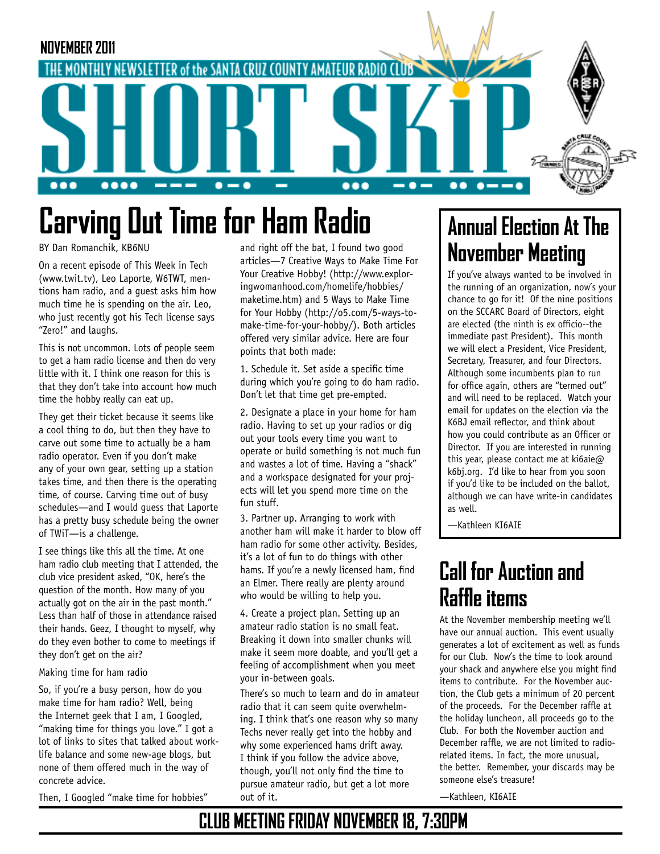

# **Carving Out Time for Ham Radio**

BY Dan Romanchik, KB6NU

On a recent episode of This Week in Tech (www.twit.tv), Leo Laporte, W6TWT, mentions ham radio, and a guest asks him how much time he is spending on the air. Leo, who just recently got his Tech license says "Zero!" and laughs.

This is not uncommon. Lots of people seem to get a ham radio license and then do very little with it. I think one reason for this is that they don't take into account how much time the hobby really can eat up.

They get their ticket because it seems like a cool thing to do, but then they have to carve out some time to actually be a ham radio operator. Even if you don't make any of your own gear, setting up a station takes time, and then there is the operating time, of course. Carving time out of busy schedules—and I would guess that Laporte has a pretty busy schedule being the owner of TWiT—is a challenge.

I see things like this all the time. At one ham radio club meeting that I attended, the club vice president asked, "OK, here's the question of the month. How many of you actually got on the air in the past month." Less than half of those in attendance raised their hands. Geez, I thought to myself, why do they even bother to come to meetings if they don't get on the air?

#### Making time for ham radio

So, if you're a busy person, how do you make time for ham radio? Well, being the Internet geek that I am, I Googled, "making time for things you love." I got a lot of links to sites that talked about worklife balance and some new-age blogs, but none of them offered much in the way of concrete advice.

Then, I Googled "make time for hobbies"

and right off the bat, I found two good articles—7 Creative Ways to Make Time For Your Creative Hobby! (http://www.exploringwomanhood.com/homelife/hobbies/ maketime.htm) and 5 Ways to Make Time for Your Hobby (http://o5.com/5-ways-tomake-time-for-your-hobby/). Both articles offered very similar advice. Here are four points that both made:

1. Schedule it. Set aside a specific time during which you're going to do ham radio. Don't let that time get pre-empted.

2. Designate a place in your home for ham radio. Having to set up your radios or dig out your tools every time you want to operate or build something is not much fun and wastes a lot of time. Having a "shack" and a workspace designated for your projects will let you spend more time on the fun stuff.

3. Partner up. Arranging to work with another ham will make it harder to blow off ham radio for some other activity. Besides, it's a lot of fun to do things with other hams. If you're a newly licensed ham, find an Elmer. There really are plenty around who would be willing to help you.

4. Create a project plan. Setting up an amateur radio station is no small feat. Breaking it down into smaller chunks will make it seem more doable, and you'll get a feeling of accomplishment when you meet your in-between goals.

There's so much to learn and do in amateur radio that it can seem quite overwhelming. I think that's one reason why so many Techs never really get into the hobby and why some experienced hams drift away. I think if you follow the advice above, though, you'll not only find the time to pursue amateur radio, but get a lot more out of it.

# **Annual Election At The November Meeting**

If you've always wanted to be involved in the running of an organization, now's your chance to go for it! Of the nine positions on the SCCARC Board of Directors, eight are elected (the ninth is ex officio--the immediate past President). This month we will elect a President, Vice President, Secretary, Treasurer, and four Directors. Although some incumbents plan to run for office again, others are "termed out" and will need to be replaced. Watch your email for updates on the election via the K6BJ email reflector, and think about how you could contribute as an Officer or Director. If you are interested in running this year, please contact me at ki6aie@ k6bj.org. I'd like to hear from you soon if you'd like to be included on the ballot, although we can have write-in candidates as well.

—Kathleen KI6AIE

# **Call for Auction and Raffle items**

At the November membership meeting we'll have our annual auction. This event usually generates a lot of excitement as well as funds for our Club. Now's the time to look around your shack and anywhere else you might find items to contribute. For the November auction, the Club gets a minimum of 20 percent of the proceeds. For the December raffle at the holiday luncheon, all proceeds go to the Club. For both the November auction and December raffle, we are not limited to radiorelated items. In fact, the more unusual, the better. Remember, your discards may be someone else's treasure!

—Kathleen, KI6AIE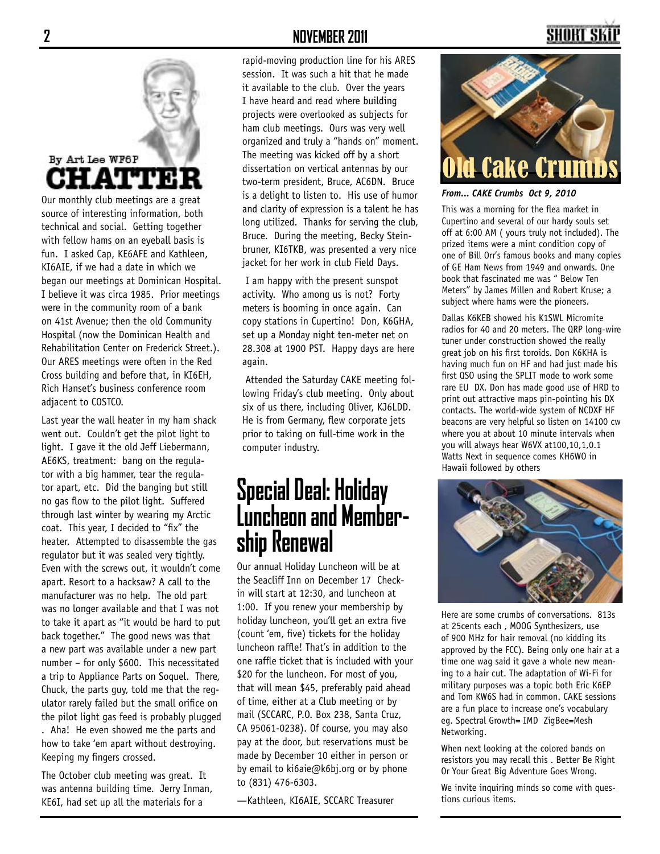# By Art Lee WF6P A1

Our monthly club meetings are a great source of interesting information, both technical and social. Getting together with fellow hams on an eyeball basis is fun. I asked Cap, KE6AFE and Kathleen, KI6AIE, if we had a date in which we began our meetings at Dominican Hospital. I believe it was circa 1985. Prior meetings were in the community room of a bank on 41st Avenue; then the old Community Hospital (now the Dominican Health and Rehabilitation Center on Frederick Street.). Our ARES meetings were often in the Red Cross building and before that, in KI6EH, Rich Hanset's business conference room adjacent to COSTCO.

Last year the wall heater in my ham shack went out. Couldn't get the pilot light to light. I gave it the old Jeff Liebermann, AE6KS, treatment: bang on the regulator with a big hammer, tear the regulator apart, etc. Did the banging but still no gas flow to the pilot light. Suffered through last winter by wearing my Arctic coat. This year, I decided to "fix" the heater. Attempted to disassemble the gas regulator but it was sealed very tightly. Even with the screws out, it wouldn't come apart. Resort to a hacksaw? A call to the manufacturer was no help. The old part was no longer available and that I was not to take it apart as "it would be hard to put back together." The good news was that a new part was available under a new part number – for only \$600. This necessitated a trip to Appliance Parts on Soquel. There, Chuck, the parts guy, told me that the regulator rarely failed but the small orifice on the pilot light gas feed is probably plugged . Aha! He even showed me the parts and how to take 'em apart without destroying. Keeping my fingers crossed.

The October club meeting was great. It was antenna building time. Jerry Inman, KE6I, had set up all the materials for a

### **2 NOVEMBER 2011**

rapid-moving production line for his ARES session. It was such a hit that he made it available to the club. Over the years I have heard and read where building projects were overlooked as subjects for ham club meetings. Ours was very well organized and truly a "hands on" moment. The meeting was kicked off by a short dissertation on vertical antennas by our two-term president, Bruce, AC6DN. Bruce is a delight to listen to. His use of humor and clarity of expression is a talent he has long utilized. Thanks for serving the club, Bruce. During the meeting, Becky Steinbruner, KI6TKB, was presented a very nice jacket for her work in club Field Days.

 I am happy with the present sunspot activity. Who among us is not? Forty meters is booming in once again. Can copy stations in Cupertino! Don, K6GHA, set up a Monday night ten-meter net on 28.308 at 1900 PST. Happy days are here again.

 Attended the Saturday CAKE meeting following Friday's club meeting. Only about six of us there, including Oliver, KJ6LDD. He is from Germany, flew corporate jets prior to taking on full-time work in the computer industry.

# **Special Deal: Holiday Luncheon and Member- ship Renewal**

Our annual Holiday Luncheon will be at the Seacliff Inn on December 17 Checkin will start at 12:30, and luncheon at 1:00. If you renew your membership by holiday luncheon, you'll get an extra five (count 'em, five) tickets for the holiday luncheon raffle! That's in addition to the one raffle ticket that is included with your \$20 for the luncheon. For most of you, that will mean \$45, preferably paid ahead of time, either at a Club meeting or by mail (SCCARC, P.O. Box 238, Santa Cruz, CA 95061-0238). Of course, you may also pay at the door, but reservations must be made by December 10 either in person or by email to ki6aie@k6bj.org or by phone to (831) 476-6303.

—Kathleen, KI6AIE, SCCARC Treasurer

# SHORT SI



*From... CAKE Crumbs Oct 9, 2010*

This was a morning for the flea market in Cupertino and several of our hardy souls set off at 6:00 AM ( yours truly not included). The prized items were a mint condition copy of one of Bill Orr's famous books and many copies of GE Ham News from 1949 and onwards. One book that fascinated me was " Below Ten Meters" by James Millen and Robert Kruse; a subject where hams were the pioneers.

Dallas K6KEB showed his K1SWL Micromite radios for 40 and 20 meters. The QRP long-wire tuner under construction showed the really great job on his first toroids. Don K6KHA is having much fun on HF and had just made his first QSO using the SPLIT mode to work some rare EU DX. Don has made good use of HRD to print out attractive maps pin-pointing his DX contacts. The world-wide system of NCDXF HF beacons are very helpful so listen on 14100 cw where you at about 10 minute intervals when you will always hear W6VX at100,10,1,0.1 Watts Next in sequence comes KH6WO in Hawaii followed by others



Here are some crumbs of conversations. 813s at 25cents each , MOOG Synthesizers, use of 900 MHz for hair removal (no kidding its approved by the FCC). Being only one hair at a time one wag said it gave a whole new meaning to a hair cut. The adaptation of Wi-Fi for military purposes was a topic both Eric K6EP and Tom KW6S had in common. CAKE sessions are a fun place to increase one's vocabulary eg. Spectral Growth= IMD ZigBee=Mesh Networking.

When next looking at the colored bands on resistors you may recall this . Better Be Right Or Your Great Big Adventure Goes Wrong.

We invite inquiring minds so come with questions curious items.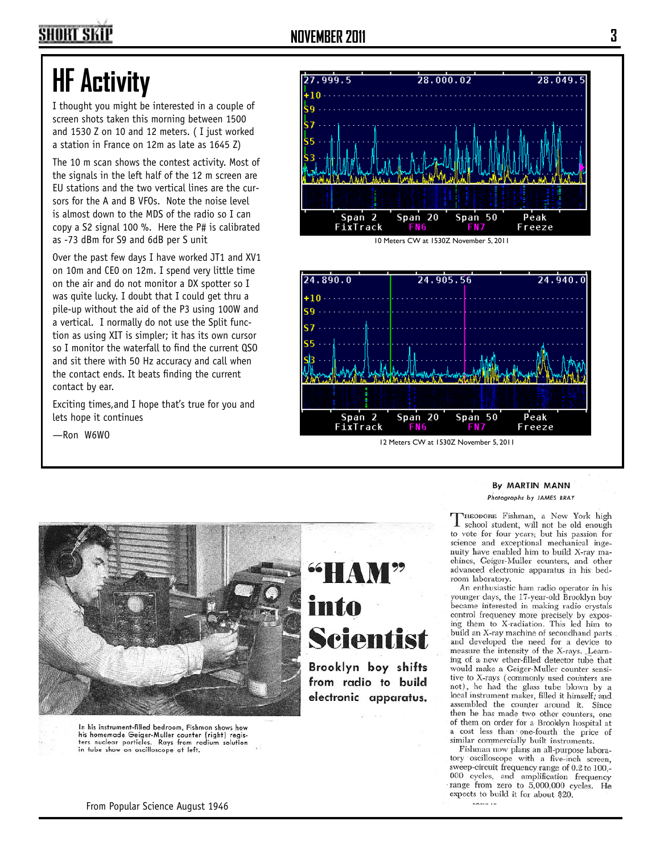# **HF Activity**

I thought you might be interested in a couple of screen shots taken this morning between 1500 and 1530 Z on 10 and 12 meters. ( I just worked a station in France on 12m as late as 1645 Z)

The 10 m scan shows the contest activity. Most of the signals in the left half of the 12 m screen are EU stations and the two vertical lines are the cursors for the A and B VFOs. Note the noise level is almost down to the MDS of the radio so I can copy a S2 signal 100 %. Here the P# is calibrated as -73 dBm for S9 and 6dB per S unit

Over the past few days I have worked JT1 and XV1 on 10m and CE0 on 12m. I spend very little time on the air and do not monitor a DX spotter so I was quite lucky. I doubt that I could get thru a pile-up without the aid of the P3 using 100W and a vertical. I normally do not use the Split function as using XIT is simpler; it has its own cursor so I monitor the waterfall to find the current QSO and sit there with 50 Hz accuracy and call when the contact ends. It beats finding the current contact by ear.

Exciting times,and I hope that's true for you and lets hope it continues

—Ron W6WO







In his instrument-filled bedroom. Fishman shows how his homemade Geiger-Muller counter (right) registers nuclear particles. Rays from radium solution<br>in tube show on oscilloscope at left.

# **Scientist**

Brooklyn boy shifts from radio to build electronic apparatus.

#### By MARTIN MANN Photographs by JAMES BRAY

THEODORE Fishman, a New York high<br>
I school student, will not be old enough to vote for four years; but his passion for science and exceptional mechanical ingenuity have enabled him to build X-ray machines, Geiger-Muller counters, and other advanced electronic apparatus in his bedroom laboratory.

An enthusiastic ham radio operator in his younger days, the 17-year-old Brooklyn boy became interested in making radio crystals control frequency more precisely by exposing them to X-radiation. This led him to build an X-ray machine of secondhand parts and developed the need for a device to measure the intensity of the X-rays. Learning of a new ether-filled detector tube that would make a Geiger-Muller counter sensitive to X-rays (commonly used counters are not), he had the glass tube blown by a local instrument maker, filled it himself; and assembled the counter around it. Since then he has made two other counters, one of them on order for a Brooklyn hospital at a cost less than one-fourth the price of similar commercially built instruments.

Fishman now plans an all-purpose laboratory oscilloscope with a five-inch screen, sweep-circuit frequency range of 0.2 to 100,-000 cycles, and amplification frequency range from zero to 5,000,000 cycles. He expects to build it for about \$20.

From Popular Science August 1946